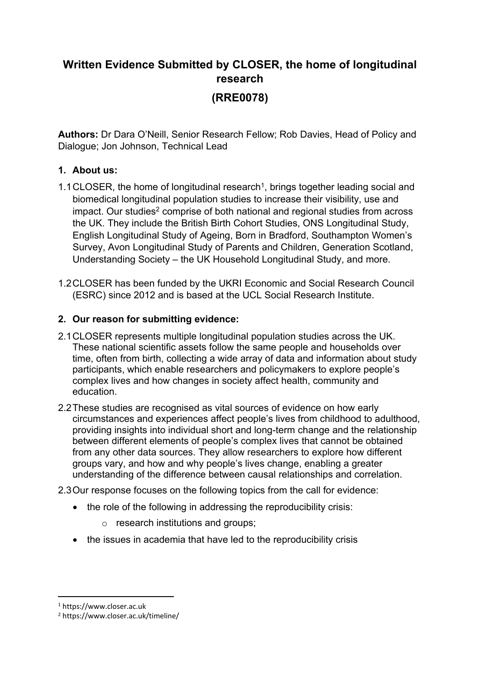# **Written Evidence Submitted by CLOSER, the home of longitudinal research (RRE0078)**

**Authors:** Dr Dara O'Neill, Senior Research Fellow; Rob Davies, Head of Policy and Dialogue; Jon Johnson, Technical Lead

## **1. About us:**

- 1.1 CLOSER, the home of longitudinal research<sup>1</sup>, brings together leading social and biomedical longitudinal population studies to increase their visibility, use and impact. Our studies<sup>2</sup> comprise of both national and regional studies from across the UK. They include the British Birth Cohort Studies, ONS Longitudinal Study, English Longitudinal Study of Ageing, Born in Bradford, Southampton Women's Survey, Avon Longitudinal Study of Parents and Children, Generation Scotland, Understanding Society – the UK Household Longitudinal Study, and more.
- 1.2CLOSER has been funded by the UKRI Economic and Social Research Council (ESRC) since 2012 and is based at the UCL Social Research Institute.

### **2. Our reason for submitting evidence:**

- 2.1CLOSER represents multiple longitudinal population studies across the UK. These national scientific assets follow the same people and households over time, often from birth, collecting a wide array of data and information about study participants, which enable researchers and policymakers to explore people's complex lives and how changes in society affect health, community and education.
- 2.2These studies are recognised as vital sources of evidence on how early circumstances and experiences affect people's lives from childhood to adulthood, providing insights into individual short and long-term change and the relationship between different elements of people's complex lives that cannot be obtained from any other data sources. They allow researchers to explore how different groups vary, and how and why people's lives change, enabling a greater understanding of the difference between causal relationships and correlation.

2.3Our response focuses on the following topics from the call for evidence:

- the role of the following in addressing the reproducibility crisis:
	- o research institutions and groups;
- the issues in academia that have led to the reproducibility crisis

<sup>1</sup> https://www.closer.ac.uk

<sup>2</sup> https://www.closer.ac.uk/timeline/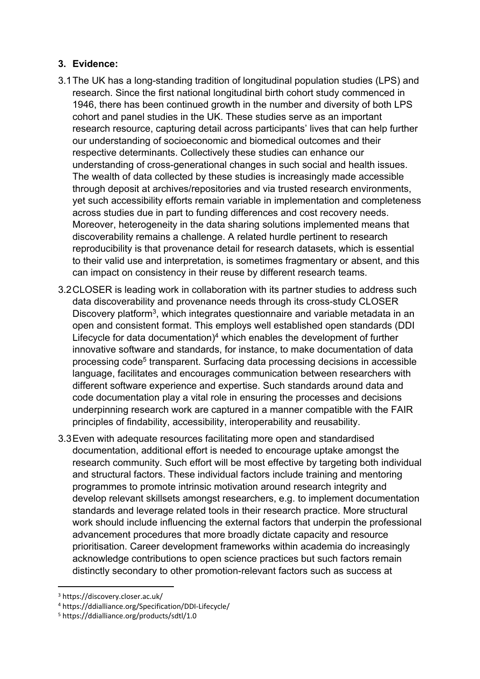### **3. Evidence:**

- 3.1The UK has a long-standing tradition of longitudinal population studies (LPS) and research. Since the first national longitudinal birth cohort study commenced in 1946, there has been continued growth in the number and diversity of both LPS cohort and panel studies in the UK. These studies serve as an important research resource, capturing detail across participants' lives that can help further our understanding of socioeconomic and biomedical outcomes and their respective determinants. Collectively these studies can enhance our understanding of cross-generational changes in such social and health issues. The wealth of data collected by these studies is increasingly made accessible through deposit at archives/repositories and via trusted research environments, yet such accessibility efforts remain variable in implementation and completeness across studies due in part to funding differences and cost recovery needs. Moreover, heterogeneity in the data sharing solutions implemented means that discoverability remains a challenge. A related hurdle pertinent to research reproducibility is that provenance detail for research datasets, which is essential to their valid use and interpretation, is sometimes fragmentary or absent, and this can impact on consistency in their reuse by different research teams.
- 3.2CLOSER is leading work in collaboration with its partner studies to address such data discoverability and provenance needs through its cross-study CLOSER Discovery platform<sup>3</sup>, which integrates questionnaire and variable metadata in an open and consistent format. This employs well established open standards (DDI Lifecycle for data documentation)<sup>4</sup> which enables the development of further innovative software and standards, for instance, to make documentation of data processing code<sup>5</sup> transparent. Surfacing data processing decisions in accessible language, facilitates and encourages communication between researchers with different software experience and expertise. Such standards around data and code documentation play a vital role in ensuring the processes and decisions underpinning research work are captured in a manner compatible with the FAIR principles of findability, accessibility, interoperability and reusability.
- 3.3Even with adequate resources facilitating more open and standardised documentation, additional effort is needed to encourage uptake amongst the research community. Such effort will be most effective by targeting both individual and structural factors. These individual factors include training and mentoring programmes to promote intrinsic motivation around research integrity and develop relevant skillsets amongst researchers, e.g. to implement documentation standards and leverage related tools in their research practice. More structural work should include influencing the external factors that underpin the professional advancement procedures that more broadly dictate capacity and resource prioritisation. Career development frameworks within academia do increasingly acknowledge contributions to open science practices but such factors remain distinctly secondary to other promotion-relevant factors such as success at

<sup>3</sup> https://discovery.closer.ac.uk/

<sup>4</sup> https://ddialliance.org/Specification/DDI-Lifecycle/

<sup>5</sup> https://ddialliance.org/products/sdtl/1.0